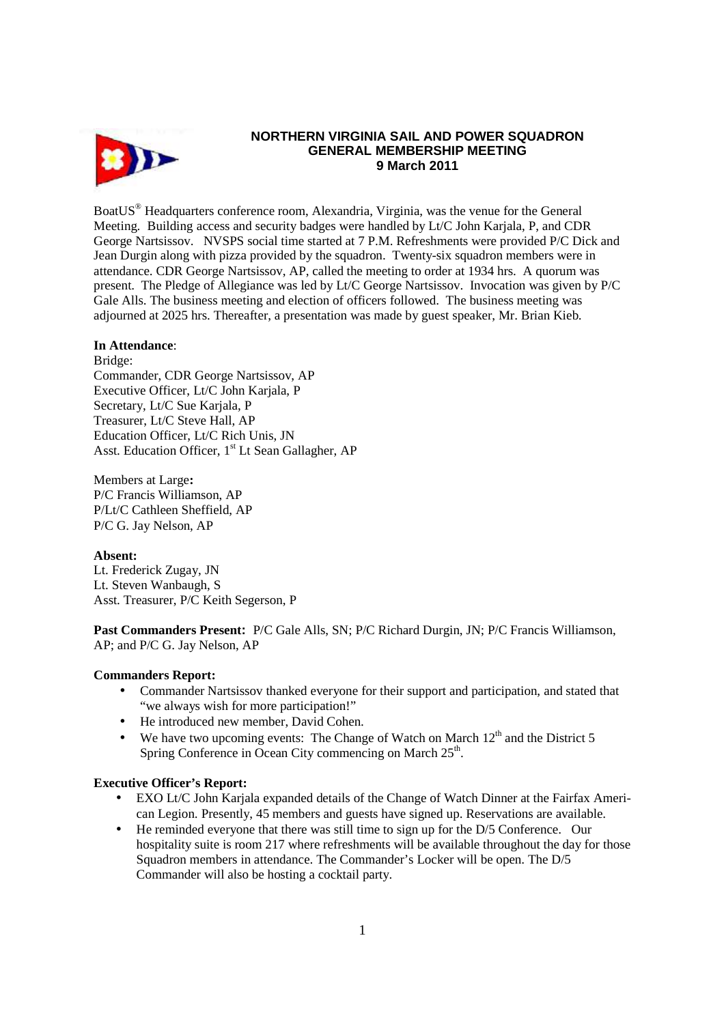

# **NORTHERN VIRGINIA SAIL AND POWER SQUADRON GENERAL MEMBERSHIP MEETING 9 March 2011**

BoatUS<sup>®</sup> Headquarters conference room, Alexandria, Virginia, was the venue for the General Meeting. Building access and security badges were handled by Lt/C John Karjala, P, and CDR George Nartsissov. NVSPS social time started at 7 P.M. Refreshments were provided P/C Dick and Jean Durgin along with pizza provided by the squadron. Twenty-six squadron members were in attendance. CDR George Nartsissov, AP, called the meeting to order at 1934 hrs. A quorum was present. The Pledge of Allegiance was led by Lt/C George Nartsissov. Invocation was given by P/C Gale Alls. The business meeting and election of officers followed. The business meeting was adjourned at 2025 hrs. Thereafter, a presentation was made by guest speaker, Mr. Brian Kieb.

## **In Attendance**:

Bridge: Commander, CDR George Nartsissov, AP Executive Officer, Lt/C John Karjala, P Secretary, Lt/C Sue Karjala, P Treasurer, Lt/C Steve Hall, AP Education Officer, Lt/C Rich Unis, JN Asst. Education Officer, 1<sup>st</sup> Lt Sean Gallagher, AP

Members at Large**:**  P/C Francis Williamson, AP P/Lt/C Cathleen Sheffield, AP P/C G. Jay Nelson, AP

# **Absent:**

Lt. Frederick Zugay, JN Lt. Steven Wanbaugh, S Asst. Treasurer, P/C Keith Segerson, P

**Past Commanders Present:** P/C Gale Alls, SN; P/C Richard Durgin, JN; P/C Francis Williamson, AP; and P/C G. Jay Nelson, AP

# **Commanders Report:**

- Commander Nartsissov thanked everyone for their support and participation, and stated that "we always wish for more participation!"
- He introduced new member, David Cohen.
- We have two upcoming events: The Change of Watch on March  $12<sup>th</sup>$  and the District 5 Spring Conference in Ocean City commencing on March 25<sup>th</sup>.

### **Executive Officer's Report:**

- EXO Lt/C John Karjala expanded details of the Change of Watch Dinner at the Fairfax American Legion. Presently, 45 members and guests have signed up. Reservations are available.
- He reminded everyone that there was still time to sign up for the D/5 Conference. Our hospitality suite is room 217 where refreshments will be available throughout the day for those Squadron members in attendance. The Commander's Locker will be open. The D/5 Commander will also be hosting a cocktail party.